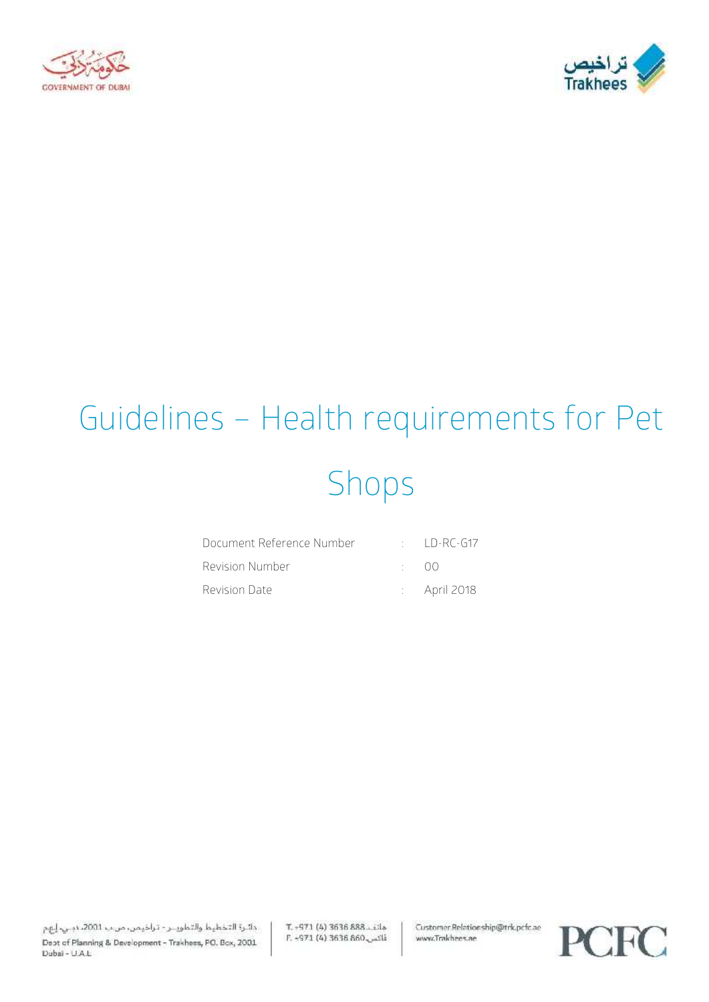



# Guidelines – Health requirements for Pet Shops

| Document Reference Number |            | $\cdot$ ID-RC-G17       |
|---------------------------|------------|-------------------------|
| Revision Number           | $\cdot$ 00 |                         |
| Revision Date             |            | $\therefore$ April 2018 |

T. - 971 (4) 3636 888. Lila E. -971 (4) 3636 860 Customer Relationship@trk.pcfc.ae www.Trakhees.ae

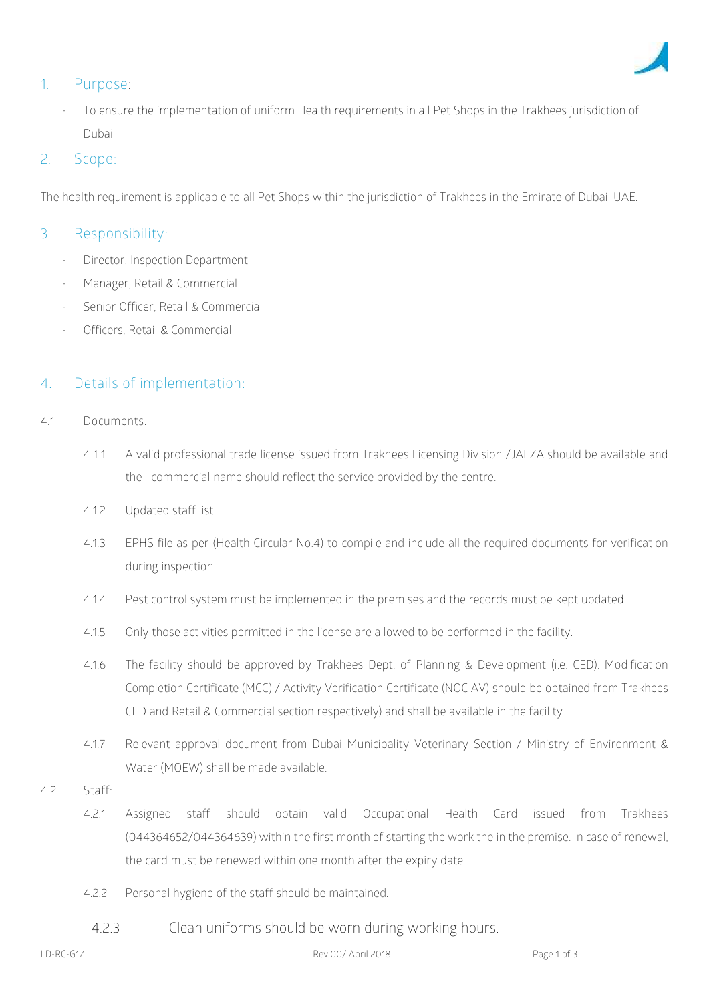

# **1. Purpose:**

To ensure the implementation of uniform Health requirements in all Pet Shops in the Trakhees jurisdiction of Dubai

### 2. **Scope**:

The health requirement is applicable to all Pet Shops within the jurisdiction of Trakhees in the Emirate of Dubai, UAE.

### **3. Responsibility:**

- Director, Inspection Department
- Manager, Retail & Commercial
- Senior Officer, Retail & Commercial
- Officers, Retail & Commercial

# **4. Details of implementation**:

- **4.1 Documents:**
	- **4.1.1** A valid professional trade license issued from Trakhees Licensing Division /JAFZA should be available and the commercial name should reflect the service provided by the centre.
	- 4.1.2 Updated staff list.
	- 4.1.3 EPHS file as per (Health Circular No.4) to compile and include all the required documents for verification during inspection.
	- 4.1.4 Pest control system must be implemented in the premises and the records must be kept updated.
	- 4.1.5 Only those activities permitted in the license are allowed to be performed in the facility.
	- 4.1.6 The facility should be approved by Trakhees Dept. of Planning & Development (i.e. CED). Modification Completion Certificate (MCC) / Activity Verification Certificate (NOC AV) should be obtained from Trakhees CED and Retail & Commercial section respectively) and shall be available in the facility.
	- 4.1.7 Relevant approval document from Dubai Municipality Veterinary Section / Ministry of Environment & Water (MOEW) shall be made available.
- **4.2 Staff:**
	- 4.2.1 Assigned staff should obtain valid Occupational Health Card issued from Trakhees (044364652/044364639) within the first month of starting the work the in the premise. In case of renewal, the card must be renewed within one month after the expiry date.
	- 4.2.2 Personal hygiene of the staff should be maintained.
		- 4.2.3 Clean uniforms should be worn during working hours.